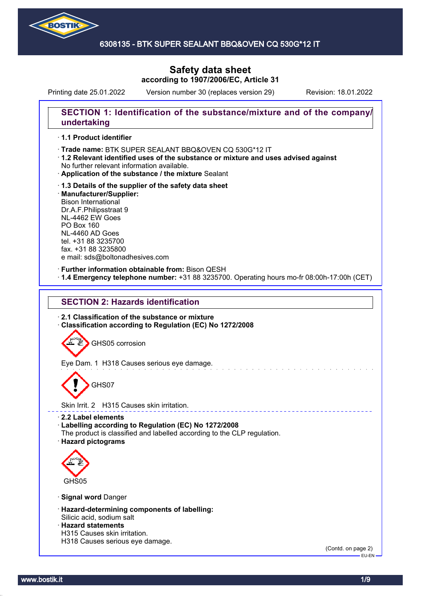

### 6308135 - BTK SUPER SEALANT BBQ&OVEN CQ 530G\*12 IT

# **Safety data sheet according to 1907/2006/EC, Article 31**

Printing date 25.01.2022 Version number 30 (replaces version 29) Revision: 18.01.2022

## **SECTION 1: Identification of the substance/mixture and of the company/ undertaking**

### · **1.1 Product identifier**

- · Trade name: BTK SUPER SEALANT BBQ&OVEN CQ 530G\*12 IT
- · **1.2 Relevant identified uses of the substance or mixture and uses advised against** No further relevant information available.
- · **Application of the substance / the mixture** Sealant
- · **1.3 Details of the supplier of the safety data sheet** · **Manufacturer/Supplier:** Bison International Dr.A.F.Philipsstraat 9 NL-4462 EW Goes PO Box 160 NL-4460 AD Goes tel. +31 88 3235700 fax. +31 88 3235800 e mail: sds@boltonadhesives.com

#### · **Further information obtainable from:** Bison QESH

· **1.4 Emergency telephone number:** +31 88 3235700. Operating hours mo-fr 08:00h-17:00h (CET)

## **SECTION 2: Hazards identification**

· **2.1 Classification of the substance or mixture** · **Classification according to Regulation (EC) No 1272/2008**

GHS05 corrosion

Eye Dam. 1 H318 Causes serious eye damage.

GHS07

Skin Irrit. 2 H315 Causes skin irritation.

#### · **2.2 Label elements**

· **Labelling according to Regulation (EC) No 1272/2008**

- The product is classified and labelled according to the CLP regulation.
- · **Hazard pictograms**



### · **Signal word** Danger

- · **Hazard-determining components of labelling:** Silicic acid, sodium salt
- · **Hazard statements**
- H315 Causes skin irritation.
- H318 Causes serious eye damage.

(Contd. on page 2)  $-EU-EN$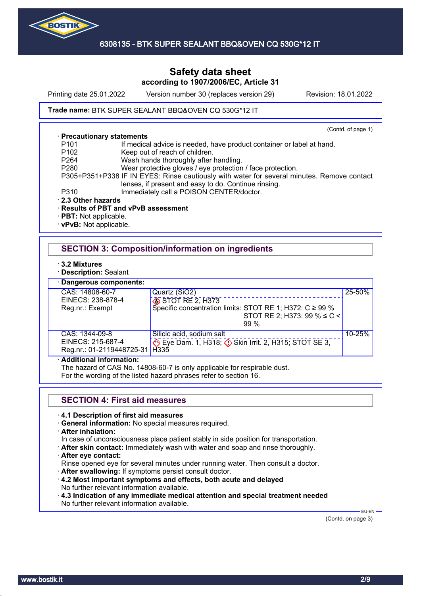

Printing date 25.01.2022 Version number 30 (replaces version 29) Revision: 18.01.2022

### Trade name: BTK SUPER SEALANT BBQ&OVEN CQ 530G\*12 IT

#### · **Precautionary statements**

(Contd. of page 1)

- P101 If medical advice is needed, have product container or label at hand.<br>P102 Keep out of reach of children.
- P102 Keep out of reach of children.<br>P264 Wash hands thoroughly after
	- Wash hands thoroughly after handling.

P280 Wear protective gloves / eye protection / face protection.

P305+P351+P338 IF IN EYES: Rinse cautiously with water for several minutes. Remove contact lenses, if present and easy to do. Continue rinsing.

- P310 Immediately call a POISON CENTER/doctor.
- · **2.3 Other hazards**

### · **Results of PBT and vPvB assessment**

- · **PBT:** Not applicable.
- · **vPvB:** Not applicable.

## **SECTION 3: Composition/information on ingredients**

- · **3.2 Mixtures**
- · **Description:** Sealant

· **Dangerous components:**

| Dangerous components.            |                                                                |        |
|----------------------------------|----------------------------------------------------------------|--------|
| CAS: 14808-60-7                  | Quartz (SiO2)                                                  | 25-50% |
| EINECS: 238-878-4                | STOT RE 2, H373                                                |        |
| Reg.nr.: Exempt                  | Specific concentration limits: STOT RE 1; H372: $C \ge 99\%$   |        |
|                                  | STOT RE 2; H373: 99 % $\leq C$ <                               |        |
|                                  | $99\%$                                                         |        |
| CAS: 1344-09-8                   | Silicic acid, sodium salt                                      | 10-25% |
| EINECS: 215-687-4                | Eye Dam. 1, H318; $\circled{}$ Skin Irrit. 2, H315; STOT SE 3, |        |
| Reg.nr.: 01-2119448725-31   H335 |                                                                |        |
| المتملكم ممسمكما الممتملك المامي |                                                                |        |

#### · **Additional information:**

The hazard of CAS No. 14808-60-7 is only applicable for respirable dust.

For the wording of the listed hazard phrases refer to section 16.

## **SECTION 4: First aid measures**

#### · **4.1 Description of first aid measures**

- · **General information:** No special measures required.
- · **After inhalation:**

In case of unconsciousness place patient stably in side position for transportation.

- · **After skin contact:** Immediately wash with water and soap and rinse thoroughly.
- · **After eye contact:**

Rinse opened eye for several minutes under running water. Then consult a doctor.

- · **After swallowing:** If symptoms persist consult doctor.
- · **4.2 Most important symptoms and effects, both acute and delayed** No further relevant information available.
- · **4.3 Indication of any immediate medical attention and special treatment needed** No further relevant information available.

 EU-EN (Contd. on page 3)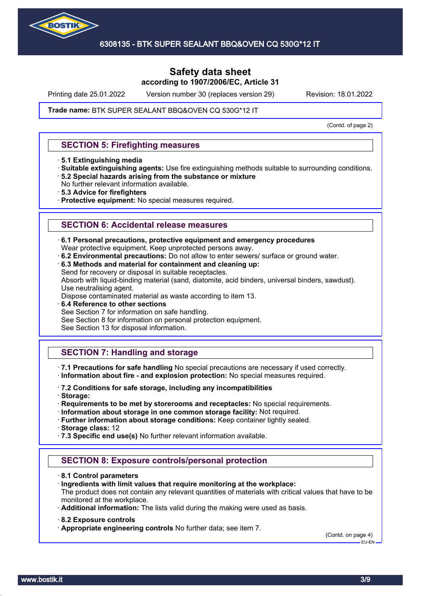

Printing date 25.01.2022 Version number 30 (replaces version 29) Revision: 18.01.2022

#### Trade name: BTK SUPER SEALANT BBQ&OVEN CQ 530G\*12 IT

(Contd. of page 2)

### **SECTION 5: Firefighting measures**

- · **5.1 Extinguishing media**
- · **Suitable extinguishing agents:** Use fire extinguishing methods suitable to surrounding conditions. · **5.2 Special hazards arising from the substance or mixture**
- No further relevant information available.
- · **5.3 Advice for firefighters**
- · **Protective equipment:** No special measures required.

### **SECTION 6: Accidental release measures**

- · **6.1 Personal precautions, protective equipment and emergency procedures**
- Wear protective equipment. Keep unprotected persons away.
- · **6.2 Environmental precautions:** Do not allow to enter sewers/ surface or ground water.
- · **6.3 Methods and material for containment and cleaning up:**

Send for recovery or disposal in suitable receptacles.

Absorb with liquid-binding material (sand, diatomite, acid binders, universal binders, sawdust). Use neutralising agent.

Dispose contaminated material as waste according to item 13.

· **6.4 Reference to other sections**

See Section 7 for information on safe handling.

See Section 8 for information on personal protection equipment.

See Section 13 for disposal information.

## **SECTION 7: Handling and storage**

· **7.1 Precautions for safe handling** No special precautions are necessary if used correctly. · **Information about fire - and explosion protection:** No special measures required.

· **7.2 Conditions for safe storage, including any incompatibilities**

· **Storage:**

· **Requirements to be met by storerooms and receptacles:** No special requirements.

· **Information about storage in one common storage facility:** Not required.

· **Further information about storage conditions:** Keep container tightly sealed.

· **Storage class:** 12

· **7.3 Specific end use(s)** No further relevant information available.

## **SECTION 8: Exposure controls/personal protection**

- · **8.1 Control parameters**
- · **Ingredients with limit values that require monitoring at the workplace:**
- The product does not contain any relevant quantities of materials with critical values that have to be monitored at the workplace.
- · **Additional information:** The lists valid during the making were used as basis.
- · **8.2 Exposure controls**
- · **Appropriate engineering controls** No further data; see item 7.

(Contd. on page 4) EU-EN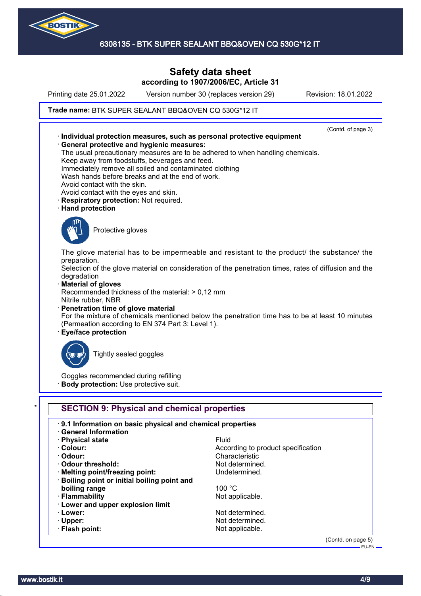

6308135 - BTK SUPER SEALANT BBQ&OVEN CQ 530G\*12 IT

# **Safety data sheet according to 1907/2006/EC, Article 31**

Printing date 25.01.2022 Version number 30 (replaces version 29) Revision: 18.01.2022

### Trade name: BTK SUPER SEALANT BBQ&OVEN CQ 530G\*12 IT



(Contd. on page 5) EU-EN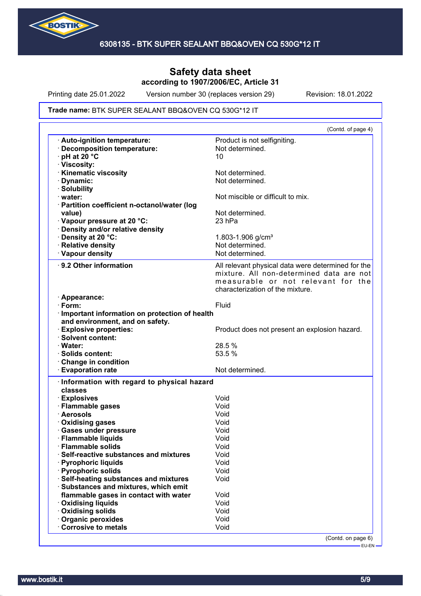

Printing date 25.01.2022 Version number 30 (replaces version 29) Revision: 18.01.2022

#### Trade name: BTK SUPER SEALANT BBQ&OVEN CQ 530G\*12 IT

| <b>Auto-ignition temperature:</b><br>Product is not selfigniting.<br>Not determined.<br>· Decomposition temperature:<br>$\cdot$ pH at 20 $\degree$ C<br>10<br>Not determined.<br>Dynamic:<br>Not determined.<br>Not miscible or difficult to mix.<br>Not determined.<br>value)<br>23 hPa<br>1.803-1.906 g/cm <sup>3</sup><br>Not determined.<br>Not determined.<br>All relevant physical data were determined for the<br>mixture. All non-determined data are not<br>measurable or not relevant for the<br>characterization of the mixture.<br>Fluid<br>and environment, and on safety.<br><b>Explosive properties:</b><br>Product does not present an explosion hazard.<br>28.5 %<br>53.5 %<br><b>Solids content:</b><br><b>Evaporation rate</b><br>Not determined.<br>classes<br>Void<br>Void<br>Void<br>Void<br>Void<br><b>Gases under pressure</b><br>Void<br><b>Flammable solids</b><br>Void<br>Void<br>Self-reactive substances and mixtures<br>Void<br>Void<br>Void<br>flammable gases in contact with water<br>Void<br>Void<br>Void<br><b>Oxidising solids</b><br><b>Organic peroxides</b><br>Void<br><b>Corrosive to metals</b><br>Void | (Contd. of page 4) |
|--------------------------------------------------------------------------------------------------------------------------------------------------------------------------------------------------------------------------------------------------------------------------------------------------------------------------------------------------------------------------------------------------------------------------------------------------------------------------------------------------------------------------------------------------------------------------------------------------------------------------------------------------------------------------------------------------------------------------------------------------------------------------------------------------------------------------------------------------------------------------------------------------------------------------------------------------------------------------------------------------------------------------------------------------------------------------------------------------------------------------------------------------|--------------------|
| · Viscosity:<br><b>Kinematic viscosity</b><br>· Solubility<br>· water:<br>· Partition coefficient n-octanol/water (log<br>Vapour pressure at 20 °C:<br>Density and/or relative density<br>· Density at 20 °C:<br>· Relative density<br>· Vapour density<br>9.2 Other information<br>· Appearance:<br>$\cdot$ Form:<br>· Important information on protection of health<br>· Solvent content:<br>· Water:<br>Change in condition<br>Information with regard to physical hazard<br>· Explosives<br>· Flammable gases<br>· Aerosols<br>· Oxidising gases<br>· Flammable liquids<br>· Pyrophoric liquids<br>· Pyrophoric solids<br>· Self-heating substances and mixtures<br>· Substances and mixtures, which emit<br><b>Oxidising liquids</b>                                                                                                                                                                                                                                                                                                                                                                                                        |                    |
|                                                                                                                                                                                                                                                                                                                                                                                                                                                                                                                                                                                                                                                                                                                                                                                                                                                                                                                                                                                                                                                                                                                                                  |                    |
|                                                                                                                                                                                                                                                                                                                                                                                                                                                                                                                                                                                                                                                                                                                                                                                                                                                                                                                                                                                                                                                                                                                                                  |                    |
|                                                                                                                                                                                                                                                                                                                                                                                                                                                                                                                                                                                                                                                                                                                                                                                                                                                                                                                                                                                                                                                                                                                                                  |                    |
|                                                                                                                                                                                                                                                                                                                                                                                                                                                                                                                                                                                                                                                                                                                                                                                                                                                                                                                                                                                                                                                                                                                                                  |                    |
|                                                                                                                                                                                                                                                                                                                                                                                                                                                                                                                                                                                                                                                                                                                                                                                                                                                                                                                                                                                                                                                                                                                                                  |                    |
|                                                                                                                                                                                                                                                                                                                                                                                                                                                                                                                                                                                                                                                                                                                                                                                                                                                                                                                                                                                                                                                                                                                                                  |                    |
|                                                                                                                                                                                                                                                                                                                                                                                                                                                                                                                                                                                                                                                                                                                                                                                                                                                                                                                                                                                                                                                                                                                                                  |                    |
|                                                                                                                                                                                                                                                                                                                                                                                                                                                                                                                                                                                                                                                                                                                                                                                                                                                                                                                                                                                                                                                                                                                                                  |                    |
|                                                                                                                                                                                                                                                                                                                                                                                                                                                                                                                                                                                                                                                                                                                                                                                                                                                                                                                                                                                                                                                                                                                                                  |                    |
|                                                                                                                                                                                                                                                                                                                                                                                                                                                                                                                                                                                                                                                                                                                                                                                                                                                                                                                                                                                                                                                                                                                                                  |                    |
|                                                                                                                                                                                                                                                                                                                                                                                                                                                                                                                                                                                                                                                                                                                                                                                                                                                                                                                                                                                                                                                                                                                                                  |                    |
|                                                                                                                                                                                                                                                                                                                                                                                                                                                                                                                                                                                                                                                                                                                                                                                                                                                                                                                                                                                                                                                                                                                                                  |                    |
|                                                                                                                                                                                                                                                                                                                                                                                                                                                                                                                                                                                                                                                                                                                                                                                                                                                                                                                                                                                                                                                                                                                                                  |                    |
|                                                                                                                                                                                                                                                                                                                                                                                                                                                                                                                                                                                                                                                                                                                                                                                                                                                                                                                                                                                                                                                                                                                                                  |                    |
|                                                                                                                                                                                                                                                                                                                                                                                                                                                                                                                                                                                                                                                                                                                                                                                                                                                                                                                                                                                                                                                                                                                                                  |                    |
|                                                                                                                                                                                                                                                                                                                                                                                                                                                                                                                                                                                                                                                                                                                                                                                                                                                                                                                                                                                                                                                                                                                                                  |                    |
|                                                                                                                                                                                                                                                                                                                                                                                                                                                                                                                                                                                                                                                                                                                                                                                                                                                                                                                                                                                                                                                                                                                                                  |                    |
|                                                                                                                                                                                                                                                                                                                                                                                                                                                                                                                                                                                                                                                                                                                                                                                                                                                                                                                                                                                                                                                                                                                                                  |                    |
|                                                                                                                                                                                                                                                                                                                                                                                                                                                                                                                                                                                                                                                                                                                                                                                                                                                                                                                                                                                                                                                                                                                                                  |                    |
|                                                                                                                                                                                                                                                                                                                                                                                                                                                                                                                                                                                                                                                                                                                                                                                                                                                                                                                                                                                                                                                                                                                                                  |                    |
|                                                                                                                                                                                                                                                                                                                                                                                                                                                                                                                                                                                                                                                                                                                                                                                                                                                                                                                                                                                                                                                                                                                                                  |                    |
|                                                                                                                                                                                                                                                                                                                                                                                                                                                                                                                                                                                                                                                                                                                                                                                                                                                                                                                                                                                                                                                                                                                                                  |                    |
|                                                                                                                                                                                                                                                                                                                                                                                                                                                                                                                                                                                                                                                                                                                                                                                                                                                                                                                                                                                                                                                                                                                                                  |                    |
|                                                                                                                                                                                                                                                                                                                                                                                                                                                                                                                                                                                                                                                                                                                                                                                                                                                                                                                                                                                                                                                                                                                                                  |                    |
|                                                                                                                                                                                                                                                                                                                                                                                                                                                                                                                                                                                                                                                                                                                                                                                                                                                                                                                                                                                                                                                                                                                                                  |                    |
|                                                                                                                                                                                                                                                                                                                                                                                                                                                                                                                                                                                                                                                                                                                                                                                                                                                                                                                                                                                                                                                                                                                                                  |                    |
|                                                                                                                                                                                                                                                                                                                                                                                                                                                                                                                                                                                                                                                                                                                                                                                                                                                                                                                                                                                                                                                                                                                                                  |                    |
|                                                                                                                                                                                                                                                                                                                                                                                                                                                                                                                                                                                                                                                                                                                                                                                                                                                                                                                                                                                                                                                                                                                                                  |                    |
|                                                                                                                                                                                                                                                                                                                                                                                                                                                                                                                                                                                                                                                                                                                                                                                                                                                                                                                                                                                                                                                                                                                                                  |                    |
|                                                                                                                                                                                                                                                                                                                                                                                                                                                                                                                                                                                                                                                                                                                                                                                                                                                                                                                                                                                                                                                                                                                                                  |                    |
|                                                                                                                                                                                                                                                                                                                                                                                                                                                                                                                                                                                                                                                                                                                                                                                                                                                                                                                                                                                                                                                                                                                                                  |                    |
|                                                                                                                                                                                                                                                                                                                                                                                                                                                                                                                                                                                                                                                                                                                                                                                                                                                                                                                                                                                                                                                                                                                                                  |                    |
|                                                                                                                                                                                                                                                                                                                                                                                                                                                                                                                                                                                                                                                                                                                                                                                                                                                                                                                                                                                                                                                                                                                                                  |                    |
|                                                                                                                                                                                                                                                                                                                                                                                                                                                                                                                                                                                                                                                                                                                                                                                                                                                                                                                                                                                                                                                                                                                                                  |                    |
|                                                                                                                                                                                                                                                                                                                                                                                                                                                                                                                                                                                                                                                                                                                                                                                                                                                                                                                                                                                                                                                                                                                                                  |                    |
|                                                                                                                                                                                                                                                                                                                                                                                                                                                                                                                                                                                                                                                                                                                                                                                                                                                                                                                                                                                                                                                                                                                                                  |                    |
|                                                                                                                                                                                                                                                                                                                                                                                                                                                                                                                                                                                                                                                                                                                                                                                                                                                                                                                                                                                                                                                                                                                                                  |                    |
|                                                                                                                                                                                                                                                                                                                                                                                                                                                                                                                                                                                                                                                                                                                                                                                                                                                                                                                                                                                                                                                                                                                                                  |                    |
|                                                                                                                                                                                                                                                                                                                                                                                                                                                                                                                                                                                                                                                                                                                                                                                                                                                                                                                                                                                                                                                                                                                                                  |                    |
|                                                                                                                                                                                                                                                                                                                                                                                                                                                                                                                                                                                                                                                                                                                                                                                                                                                                                                                                                                                                                                                                                                                                                  |                    |
|                                                                                                                                                                                                                                                                                                                                                                                                                                                                                                                                                                                                                                                                                                                                                                                                                                                                                                                                                                                                                                                                                                                                                  |                    |
|                                                                                                                                                                                                                                                                                                                                                                                                                                                                                                                                                                                                                                                                                                                                                                                                                                                                                                                                                                                                                                                                                                                                                  |                    |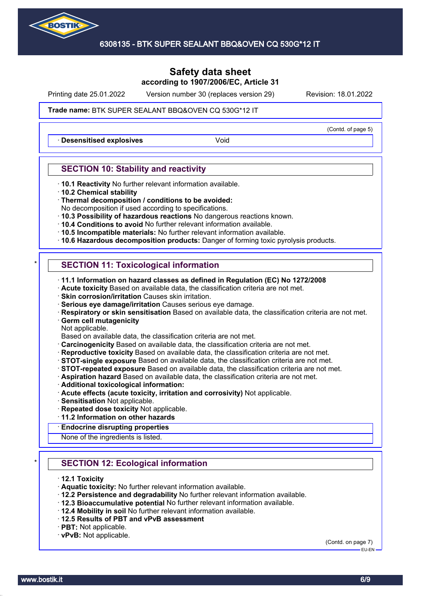

Printing date 25.01.2022 Version number 30 (replaces version 29) Revision: 18.01.2022

(Contd. of page 5)

#### Trade name: BTK SUPER SEALANT BBQ&OVEN CQ 530G\*12 IT

**Desensitised explosives Void** 

## **SECTION 10: Stability and reactivity**

- · **10.1 Reactivity** No further relevant information available.
- · **10.2 Chemical stability**
- · **Thermal decomposition / conditions to be avoided:**
- No decomposition if used according to specifications.
- · **10.3 Possibility of hazardous reactions** No dangerous reactions known.
- · **10.4 Conditions to avoid** No further relevant information available.
- · **10.5 Incompatible materials:** No further relevant information available.
- · **10.6 Hazardous decomposition products:** Danger of forming toxic pyrolysis products.

## **SECTION 11: Toxicological information**

- · **11.1 Information on hazard classes as defined in Regulation (EC) No 1272/2008**
- · **Acute toxicity** Based on available data, the classification criteria are not met.
- · **Skin corrosion/irritation** Causes skin irritation.
- · **Serious eye damage/irritation** Causes serious eye damage.
- · **Respiratory or skin sensitisation** Based on available data, the classification criteria are not met.
- **Germ cell mutagenicity**

Not applicable.

Based on available data, the classification criteria are not met.

- · **Carcinogenicity** Based on available data, the classification criteria are not met.
- · **Reproductive toxicity** Based on available data, the classification criteria are not met.
- · **STOT-single exposure** Based on available data, the classification criteria are not met.
- · **STOT-repeated exposure** Based on available data, the classification criteria are not met.
- · **Aspiration hazard** Based on available data, the classification criteria are not met.
- · **Additional toxicological information:**
- · **Acute effects (acute toxicity, irritation and corrosivity)** Not applicable.
- · **Sensitisation** Not applicable.
- · **Repeated dose toxicity** Not applicable.
- · **11.2 Information on other hazards**
- · **Endocrine disrupting properties**

None of the ingredients is listed.

## **SECTION 12: Ecological information**

- · **12.1 Toxicity**
- · **Aquatic toxicity:** No further relevant information available.
- · **12.2 Persistence and degradability** No further relevant information available.
- · **12.3 Bioaccumulative potential** No further relevant information available.
- · **12.4 Mobility in soil** No further relevant information available.
- · **12.5 Results of PBT and vPvB assessment**
- · **PBT:** Not applicable.
- · **vPvB:** Not applicable.

(Contd. on page 7)

EU-EN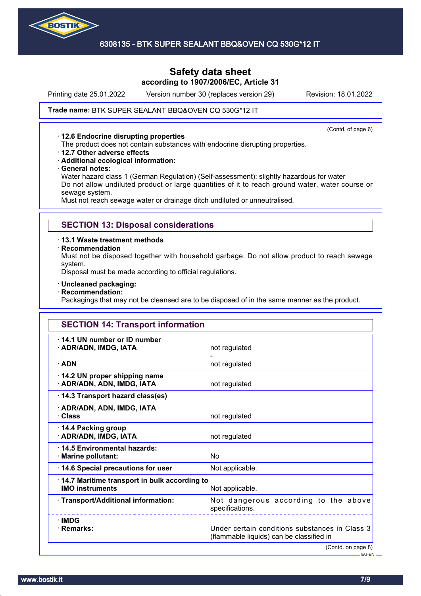

Printing date 25.01.2022 Version number 30 (replaces version 29) Revision: 18.01.2022

### Trade name: BTK SUPER SEALANT BBQ&OVEN CQ 530G\*12 IT

#### · **12.6 Endocrine disrupting properties**

(Contd. of page 6)

The product does not contain substances with endocrine disrupting properties.

· **12.7 Other adverse effects**

### · **Additional ecological information:**

· **General notes:**

Water hazard class 1 (German Regulation) (Self-assessment): slightly hazardous for water Do not allow undiluted product or large quantities of it to reach ground water, water course or sewage system.

Must not reach sewage water or drainage ditch undiluted or unneutralised.

## **SECTION 13: Disposal considerations**

· **13.1 Waste treatment methods**

· **Recommendation**

Must not be disposed together with household garbage. Do not allow product to reach sewage system.

Disposal must be made according to official regulations.

- · **Uncleaned packaging:**
- · **Recommendation:**

Packagings that may not be cleansed are to be disposed of in the same manner as the product.

| not regulated<br>not regulated<br>not regulated<br>not regulated                           |
|--------------------------------------------------------------------------------------------|
|                                                                                            |
|                                                                                            |
|                                                                                            |
|                                                                                            |
|                                                                                            |
| not regulated                                                                              |
| No                                                                                         |
| Not applicable.                                                                            |
| 14.7 Maritime transport in bulk according to<br>Not applicable.                            |
| Not dangerous according to the above<br>specifications.                                    |
| <u>.</u>                                                                                   |
| Under certain conditions substances in Class 3<br>(flammable liquids) can be classified in |
|                                                                                            |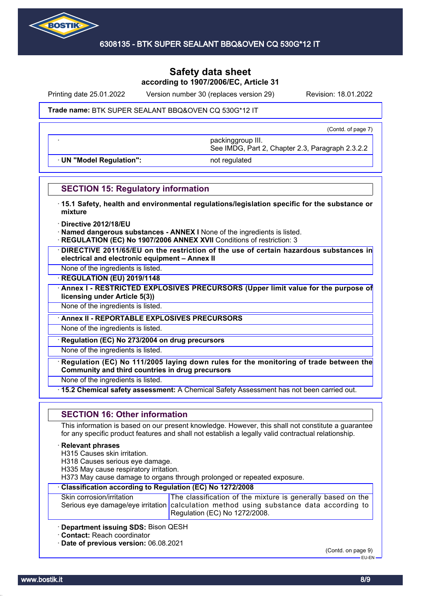

Printing date 25.01.2022 Version number 30 (replaces version 29) Revision: 18.01.2022

### Trade name: BTK SUPER SEALANT BBQ&OVEN CQ 530G\*12 IT

(Contd. of page 7)

· **UN "Model Regulation":** not regulated

See IMDG, Part 2, Chapter 2.3, Paragraph 2.3.2.2

· packinggroup III.

## **SECTION 15: Regulatory information**

- · **15.1 Safety, health and environmental regulations/legislation specific for the substance or mixture**
- · **Directive 2012/18/EU**
- · **Named dangerous substances ANNEX I** None of the ingredients is listed.
- **REGULATION (EC) No 1907/2006 ANNEX XVII Conditions of restriction: 3**
- · **DIRECTIVE 2011/65/EU on the restriction of the use of certain hazardous substances in electrical and electronic equipment – Annex II**
- None of the ingredients is listed.

· **REGULATION (EU) 2019/1148**

· **Annex I - RESTRICTED EXPLOSIVES PRECURSORS (Upper limit value for the purpose of licensing under Article 5(3))**

None of the ingredients is listed.

· **Annex II - REPORTABLE EXPLOSIVES PRECURSORS**

None of the ingredients is listed.

· **Regulation (EC) No 273/2004 on drug precursors**

None of the ingredients is listed.

· **Regulation (EC) No 111/2005 laying down rules for the monitoring of trade between the Community and third countries in drug precursors**

None of the ingredients is listed.

· **15.2 Chemical safety assessment:** A Chemical Safety Assessment has not been carried out.

## **SECTION 16: Other information**

This information is based on our present knowledge. However, this shall not constitute a guarantee for any specific product features and shall not establish a legally valid contractual relationship.

#### · **Relevant phrases**

H315 Causes skin irritation.

H318 Causes serious eye damage.

H335 May cause respiratory irritation.

H373 May cause damage to organs through prolonged or repeated exposure.

### · **Classification according to Regulation (EC) No 1272/2008**

| Skin corrosion/irritation | The classification of the mixture is generally based on the                            |
|---------------------------|----------------------------------------------------------------------------------------|
|                           | Serious eye damage/eye irritation calculation method using substance data according to |
|                           | Regulation (EC) No 1272/2008.                                                          |

· **Department issuing SDS:** Bison QESH

· **Contact:** Reach coordinator

· **Date of previous version:** 06.08.2021

(Contd. on page 9) EU-EN